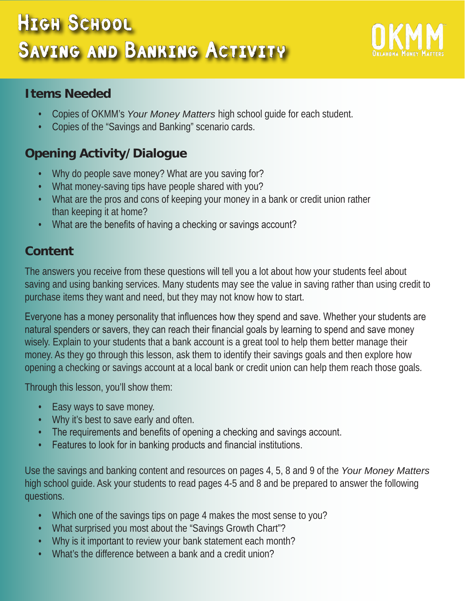# High School SAVING AND BANKING ACTIVITY



#### **Items Needed**

- Copies of OKMM's *Your Money Matters* high school guide for each student.
- Copies of the "Savings and Banking" scenario cards.

## **Opening Activity/Dialogue**

- Why do people save money? What are you saving for?
- What money-saving tips have people shared with you?
- What are the pros and cons of keeping your money in a bank or credit union rather than keeping it at home?
- What are the benefits of having a checking or savings account?

## **Content**

The answers you receive from these questions will tell you a lot about how your students feel about saving and using banking services. Many students may see the value in saving rather than using credit to purchase items they want and need, but they may not know how to start.

Everyone has a money personality that influences how they spend and save. Whether your students are natural spenders or savers, they can reach their financial goals by learning to spend and save money wisely. Explain to your students that a bank account is a great tool to help them better manage their money. As they go through this lesson, ask them to identify their savings goals and then explore how opening a checking or savings account at a local bank or credit union can help them reach those goals.

Through this lesson, you'll show them:

- Easy ways to save money.
- Why it's best to save early and often.
- The requirements and benefits of opening a checking and savings account.
- Features to look for in banking products and financial institutions.

Use the savings and banking content and resources on pages 4, 5, 8 and 9 of the *Your Money Matters* high school guide. Ask your students to read pages 4-5 and 8 and be prepared to answer the following questions.

- Which one of the savings tips on page 4 makes the most sense to you?
- What surprised you most about the "Savings Growth Chart"?
- Why is it important to review your bank statement each month?
- What's the difference between a bank and a credit union?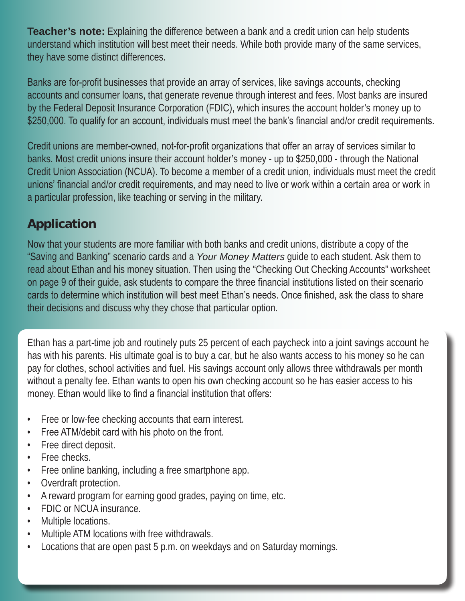**Teacher's note:** Explaining the difference between a bank and a credit union can help students understand which institution will best meet their needs. While both provide many of the same services, they have some distinct differences.

Banks are for-profit businesses that provide an array of services, like savings accounts, checking accounts and consumer loans, that generate revenue through interest and fees. Most banks are insured by the Federal Deposit Insurance Corporation (FDIC), which insures the account holder's money up to \$250,000. To qualify for an account, individuals must meet the bank's financial and/or credit requirements.

Credit unions are member-owned, not-for-profit organizations that offer an array of services similar to banks. Most credit unions insure their account holder's money - up to \$250,000 - through the National Credit Union Association (NCUA). To become a member of a credit union, individuals must meet the credit unions' financial and/or credit requirements, and may need to live or work within a certain area or work in a particular profession, like teaching or serving in the military.

# **Application**

Now that your students are more familiar with both banks and credit unions, distribute a copy of the "Saving and Banking" scenario cards and a *Your Money Matters* guide to each student. Ask them to read about Ethan and his money situation. Then using the "Checking Out Checking Accounts" worksheet on page 9 of their guide, ask students to compare the three financial institutions listed on their scenario cards to determine which institution will best meet Ethan's needs. Once finished, ask the class to share their decisions and discuss why they chose that particular option.

Ethan has a part-time job and routinely puts 25 percent of each paycheck into a joint savings account he has with his parents. His ultimate goal is to buy a car, but he also wants access to his money so he can pay for clothes, school activities and fuel. His savings account only allows three withdrawals per month without a penalty fee. Ethan wants to open his own checking account so he has easier access to his money. Ethan would like to find a financial institution that offers:

- Free or low-fee checking accounts that earn interest.
- Free ATM/debit card with his photo on the front.
- Free direct deposit.
- Free checks.
- Free online banking, including a free smartphone app.
- Overdraft protection.
- A reward program for earning good grades, paying on time, etc.
- FDIC or NCUA insurance.
- Multiple locations.
- Multiple ATM locations with free withdrawals.
- Locations that are open past 5 p.m. on weekdays and on Saturday mornings.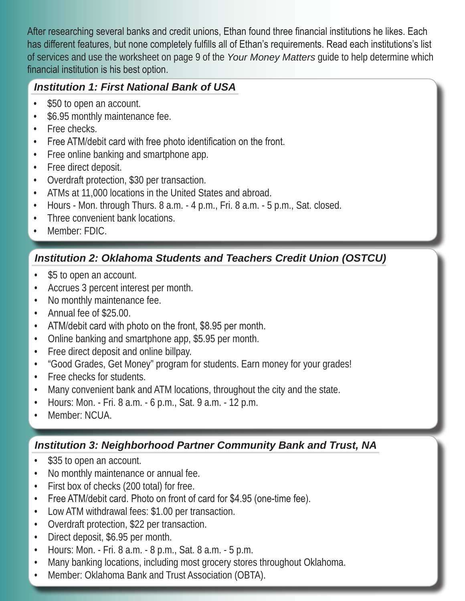After researching several banks and credit unions, Ethan found three financial institutions he likes. Each has different features, but none completely fulfills all of Ethan's requirements. Read each institutions's list of services and use the worksheet on page 9 of the *Your Money Matters* guide to help determine which financial institution is his best option.

#### *Institution 1: First National Bank of USA*

- \$50 to open an account.
- \$6.95 monthly maintenance fee.
- Free checks.
- Free ATM/debit card with free photo identification on the front.
- Free online banking and smartphone app.
- Free direct deposit.
- Overdraft protection, \$30 per transaction.
- ATMs at 11,000 locations in the United States and abroad.
- Hours Mon. through Thurs. 8 a.m. 4 p.m., Fri. 8 a.m. 5 p.m., Sat. closed.
- Three convenient bank locations.
- Member: FDIC.

## *Institution 2: Oklahoma Students and Teachers Credit Union (OSTCU)*

- \$5 to open an account.
- Accrues 3 percent interest per month.
- No monthly maintenance fee.
- Annual fee of \$25.00.
- ATM/debit card with photo on the front, \$8.95 per month.
- Online banking and smartphone app, \$5.95 per month.
- Free direct deposit and online billpay.
- "Good Grades, Get Money" program for students. Earn money for your grades!
- Free checks for students.
- Many convenient bank and ATM locations, throughout the city and the state.
- Hours: Mon. Fri. 8 a.m. 6 p.m., Sat. 9 a.m. 12 p.m.
- Member: NCUA.

### *Institution 3: Neighborhood Partner Community Bank and Trust, NA*

- \$35 to open an account.
- No monthly maintenance or annual fee.
- First box of checks (200 total) for free.
- Free ATM/debit card. Photo on front of card for \$4.95 (one-time fee).
- Low ATM withdrawal fees: \$1.00 per transaction.
- Overdraft protection, \$22 per transaction.
- Direct deposit, \$6.95 per month.
- Hours: Mon. Fri. 8 a.m. 8 p.m., Sat. 8 a.m. 5 p.m.
- Many banking locations, including most grocery stores throughout Oklahoma.
- Member: Oklahoma Bank and Trust Association (OBTA).